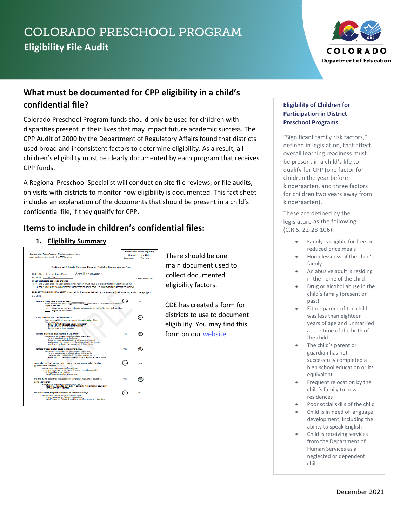# COLORADO PRESCHOOL PROGRAM **Eligibility File Audit**



# **What must be documented for CPP eligibility in a child's confidential file?**

Colorado Preschool Program funds should only be used for children with disparities present in their lives that may impact future academic success. The CPP Audit of 2000 by the Department of Regulatory Affairs found that districts used broad and inconsistent factors to determine eligibility. As a result, all children's eligibility must be clearly documented by each program that receives CPP funds.

A Regional Preschool Specialist will conduct on site file reviews, or file audits, on visits with districts to monitor how eligibility is documented. This fact sheet includes an explanation of the documents that should be present in a child's confidential file, if they qualify for CPP.

## **Items to include in children's confidential files:**

#### **1. Eligibility Summary**

| <b>Confidential Form Purpose: This is an internal form</b><br>used to determine priority for CPP funding.                                                                                                        |                                                                                                     |            | <b>CPP District Council Elizibility</b><br><b>Committee Use Only</b><br>Declined<br>Accepted |  |  |  |  |
|------------------------------------------------------------------------------------------------------------------------------------------------------------------------------------------------------------------|-----------------------------------------------------------------------------------------------------|------------|----------------------------------------------------------------------------------------------|--|--|--|--|
| Confidential Colorado Preschool Program Eligibility Documentation Form                                                                                                                                           |                                                                                                     |            |                                                                                              |  |  |  |  |
| Child's Name (from birth certificate): Angel Lee Anyone *                                                                                                                                                        |                                                                                                     |            |                                                                                              |  |  |  |  |
| Birthdate: 10/17/2010                                                                                                                                                                                            |                                                                                                     |            | *not a real child                                                                            |  |  |  |  |
| Check applicable age range of child:                                                                                                                                                                             |                                                                                                     |            |                                                                                              |  |  |  |  |
| x 4- and 5-year-olds one year before kindergarten (must have 1 eligibility factor present to qualify).<br>3- and 4-year-olds two years before kindergarten (must have 3 eligibility factors present to qualify). |                                                                                                     |            |                                                                                              |  |  |  |  |
| PRIMARY ELIGIBILITY INDICATORS: Check all indicators (as defined by state statutes) below each question that apply to                                                                                            |                                                                                                     |            |                                                                                              |  |  |  |  |
| the child.                                                                                                                                                                                                       |                                                                                                     |            |                                                                                              |  |  |  |  |
|                                                                                                                                                                                                                  |                                                                                                     |            | NO                                                                                           |  |  |  |  |
| Does the family have a financial need?                                                                                                                                                                           | Documented by District based on Egminy Economic Surveys Federal free and Reduced Meal Documentation |            |                                                                                              |  |  |  |  |
| verified by main office                                                                                                                                                                                          | x Oualifies for free and reduced meals program as verified by main district office                  |            |                                                                                              |  |  |  |  |
| Eligible for Head Start                                                                                                                                                                                          |                                                                                                     |            |                                                                                              |  |  |  |  |
|                                                                                                                                                                                                                  |                                                                                                     |            |                                                                                              |  |  |  |  |
| Is the child considered to be homeless?                                                                                                                                                                          |                                                                                                     | YFS        | NO                                                                                           |  |  |  |  |
| Formly fives in vehicle, no permanent housing, fiving with Jossily or triends,                                                                                                                                   |                                                                                                     |            |                                                                                              |  |  |  |  |
| Irving in motel, etc.<br>School District Homeless Liaison verification                                                                                                                                           |                                                                                                     |            |                                                                                              |  |  |  |  |
| Social Services or other agency reports                                                                                                                                                                          |                                                                                                     |            |                                                                                              |  |  |  |  |
| Parent reports living situation                                                                                                                                                                                  |                                                                                                     |            |                                                                                              |  |  |  |  |
| Is there an abusive adult residing in the home?                                                                                                                                                                  |                                                                                                     | YFS        | NO                                                                                           |  |  |  |  |
| Documented by parent report or Social Services or apency report                                                                                                                                                  |                                                                                                     |            |                                                                                              |  |  |  |  |
| Parent reports abuse in the home.<br>Social services, school district or other agency report                                                                                                                     |                                                                                                     |            |                                                                                              |  |  |  |  |
|                                                                                                                                                                                                                  | Police/Court documentation of abusive adult in the home                                             |            |                                                                                              |  |  |  |  |
| Medical record points to abusive adult in the home                                                                                                                                                               |                                                                                                     |            |                                                                                              |  |  |  |  |
| Is there drug or alcohol abuse in the child's family?                                                                                                                                                            |                                                                                                     | <b>VEC</b> | NO                                                                                           |  |  |  |  |
| Documented by parent report or Social Services or approx report.<br>Parent reports drug or alcohol abuse in the family                                                                                           |                                                                                                     |            |                                                                                              |  |  |  |  |
| Social services, school district or other agency report                                                                                                                                                          |                                                                                                     |            |                                                                                              |  |  |  |  |
|                                                                                                                                                                                                                  | Police or Court report documents drug or alcohol abuse in family                                    |            |                                                                                              |  |  |  |  |
|                                                                                                                                                                                                                  |                                                                                                     |            | <b>NO</b>                                                                                    |  |  |  |  |
| Was either parent less than eighteen years old and unmarried at the time<br>of the birth of the child?                                                                                                           |                                                                                                     |            |                                                                                              |  |  |  |  |
| Documented by parent report or birth certificate.                                                                                                                                                                |                                                                                                     |            |                                                                                              |  |  |  |  |
| $x$ Parent has reported they were less than 18 and unmarried<br>Birth certificate verification                                                                                                                   |                                                                                                     |            |                                                                                              |  |  |  |  |
| Social Services or other agency report                                                                                                                                                                           |                                                                                                     |            |                                                                                              |  |  |  |  |
| Did the child's parent fail to successfully complete a high school education                                                                                                                                     |                                                                                                     | YES        |                                                                                              |  |  |  |  |
| or its equivalent?                                                                                                                                                                                               |                                                                                                     |            |                                                                                              |  |  |  |  |
| Documented by parent report or School District report.                                                                                                                                                           |                                                                                                     |            |                                                                                              |  |  |  |  |
| School District verification                                                                                                                                                                                     | Parent has reported they did not complete high school or equivalent                                 |            |                                                                                              |  |  |  |  |
|                                                                                                                                                                                                                  |                                                                                                     |            |                                                                                              |  |  |  |  |
| Have there been frequent relocations by the child's family?<br>Documented by corent report or Social Services report                                                                                             |                                                                                                     |            | <b>NO</b>                                                                                    |  |  |  |  |
| x Parent has reported frequent relocations                                                                                                                                                                       |                                                                                                     |            |                                                                                              |  |  |  |  |
| Social Services or School District have verified frequent relocations                                                                                                                                            |                                                                                                     |            |                                                                                              |  |  |  |  |

There should be one main document used to collect documented eligibility factors.

CDE has created a form for districts to use to document eligibility. You may find this form on our [website.](https://docs.google.com/document/d/1J-h8f3KR4t0FHLjpcM5E5FitJQtBtT4C853-lEZarKY/copy)

#### **Eligibility of Children for Participation in District Preschool Programs**

"Significant family risk factors," defined in legislation, that affect overall learning readiness must be present in a child's life to qualify for CPP (one factor for children the year before kindergarten, and three factors for children two years away from kindergarten).

These are defined by the legislature as the following (C.R.S. 22-28-106):

- Family is eligible for free or reduced price meals
- Homelessness of the child's family
- An abusive adult is residing in the home of the child
- Drug or alcohol abuse in the child's family (present or past)
- Either parent of the child was less than eighteen years of age and unmarried at the time of the birth of the child
- The child's parent or guardian has not successfully completed a high school education or its equivalent
- Frequent relocation by the child's family to new residences
- Poor social skills of the child
- Child is in need of language development, including the ability to speak English
- Child is receiving services from the Department of Human Services as a neglected or dependent child